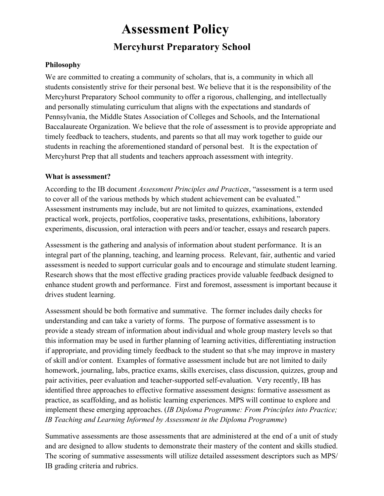# **Assessment Policy Mercyhurst Preparatory School**

## **Philosophy**

We are committed to creating a community of scholars, that is, a community in which all students consistently strive for their personal best. We believe that it is the responsibility of the Mercyhurst Preparatory School community to offer a rigorous, challenging, and intellectually and personally stimulating curriculum that aligns with the expectations and standards of Pennsylvania, the Middle States Association of Colleges and Schools, and the International Baccalaureate Organization. We believe that the role of assessment is to provide appropriate and timely feedback to teachers, students, and parents so that all may work together to guide our students in reaching the aforementioned standard of personal best. It is the expectation of Mercyhurst Prep that all students and teachers approach assessment with integrity.

#### **What is assessment?**

According to the IB document *Assessment Principles and Practi*ce*s*, "assessment is a term used to cover all of the various methods by which student achievement can be evaluated." Assessment instruments may include, but are not limited to quizzes, examinations, extended practical work, projects, portfolios, cooperative tasks, presentations, exhibitions, laboratory experiments, discussion, oral interaction with peers and/or teacher, essays and research papers.

Assessment is the gathering and analysis of information about student performance. It is an integral part of the planning, teaching, and learning process. Relevant, fair, authentic and varied assessment is needed to support curricular goals and to encourage and stimulate student learning. Research shows that the most effective grading practices provide valuable feedback designed to enhance student growth and performance. First and foremost, assessment is important because it drives student learning.

Assessment should be both formative and summative. The former includes daily checks for understanding and can take a variety of forms. The purpose of formative assessment is to provide a steady stream of information about individual and whole group mastery levels so that this information may be used in further planning of learning activities, differentiating instruction if appropriate, and providing timely feedback to the student so that s/he may improve in mastery of skill and/or content. Examples of formative assessment include but are not limited to daily homework, journaling, labs, practice exams, skills exercises, class discussion, quizzes, group and pair activities, peer evaluation and teacher-supported self-evaluation. Very recently, IB has identified three approaches to effective formative assessment designs: formative assessment as practice, as scaffolding, and as holistic learning experiences. MPS will continue to explore and implement these emerging approaches. (*IB Diploma Programme: From Principles into Practice; IB Teaching and Learning Informed by Assessment in the Diploma Programme*)

Summative assessments are those assessments that are administered at the end of a unit of study and are designed to allow students to demonstrate their mastery of the content and skills studied. The scoring of summative assessments will utilize detailed assessment descriptors such as MPS/ IB grading criteria and rubrics.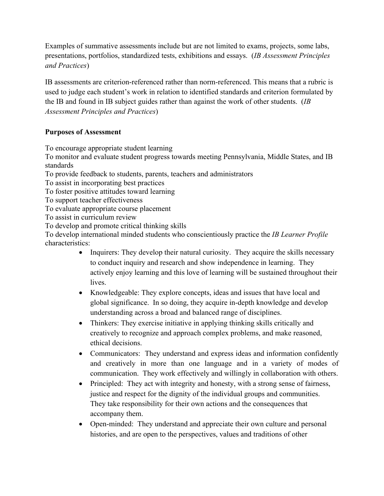Examples of summative assessments include but are not limited to exams, projects, some labs, presentations, portfolios, standardized tests, exhibitions and essays. (*IB Assessment Principles and Practices*)

IB assessments are criterion-referenced rather than norm-referenced. This means that a rubric is used to judge each student's work in relation to identified standards and criterion formulated by the IB and found in IB subject guides rather than against the work of other students. (*IB Assessment Principles and Practices*)

# **Purposes of Assessment**

To encourage appropriate student learning

To monitor and evaluate student progress towards meeting Pennsylvania, Middle States, and IB standards

To provide feedback to students, parents, teachers and administrators

To assist in incorporating best practices

To foster positive attitudes toward learning

To support teacher effectiveness

To evaluate appropriate course placement

To assist in curriculum review

To develop and promote critical thinking skills

To develop international minded students who conscientiously practice the *IB Learner Profile* characteristics:

- Inquirers: They develop their natural curiosity. They acquire the skills necessary to conduct inquiry and research and show independence in learning. They actively enjoy learning and this love of learning will be sustained throughout their lives.
- Knowledgeable: They explore concepts, ideas and issues that have local and global significance. In so doing, they acquire in-depth knowledge and develop understanding across a broad and balanced range of disciplines.
- Thinkers: They exercise initiative in applying thinking skills critically and creatively to recognize and approach complex problems, and make reasoned, ethical decisions.
- Communicators: They understand and express ideas and information confidently and creatively in more than one language and in a variety of modes of communication. They work effectively and willingly in collaboration with others.
- Principled: They act with integrity and honesty, with a strong sense of fairness, justice and respect for the dignity of the individual groups and communities. They take responsibility for their own actions and the consequences that accompany them.
- Open-minded: They understand and appreciate their own culture and personal histories, and are open to the perspectives, values and traditions of other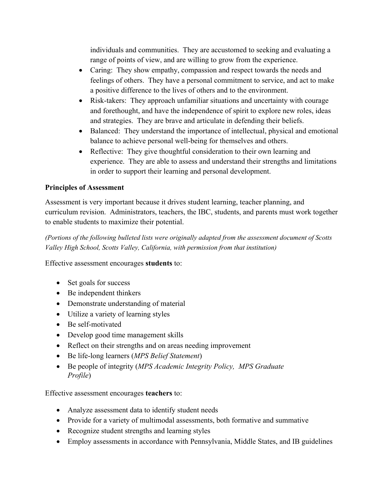individuals and communities. They are accustomed to seeking and evaluating a range of points of view, and are willing to grow from the experience.

- Caring: They show empathy, compassion and respect towards the needs and feelings of others. They have a personal commitment to service, and act to make a positive difference to the lives of others and to the environment.
- Risk-takers: They approach unfamiliar situations and uncertainty with courage and forethought, and have the independence of spirit to explore new roles, ideas and strategies. They are brave and articulate in defending their beliefs.
- Balanced: They understand the importance of intellectual, physical and emotional balance to achieve personal well-being for themselves and others.
- Reflective: They give thoughtful consideration to their own learning and experience. They are able to assess and understand their strengths and limitations in order to support their learning and personal development.

# **Principles of Assessment**

Assessment is very important because it drives student learning, teacher planning, and curriculum revision. Administrators, teachers, the IBC, students, and parents must work together to enable students to maximize their potential.

*(Portions of the following bulleted lists were originally adapted from the assessment document of Scotts Valley High School, Scotts Valley, California, with permission from that institution)*

Effective assessment encourages **students** to:

- Set goals for success
- Be independent thinkers
- Demonstrate understanding of material
- Utilize a variety of learning styles
- Be self-motivated
- Develop good time management skills
- Reflect on their strengths and on areas needing improvement
- Be life-long learners (*MPS Belief Statement*)
- Be people of integrity (*MPS Academic Integrity Policy, MPS Graduate Profile*)

Effective assessment encourages **teachers** to:

- Analyze assessment data to identify student needs
- Provide for a variety of multimodal assessments, both formative and summative
- Recognize student strengths and learning styles
- Employ assessments in accordance with Pennsylvania, Middle States, and IB guidelines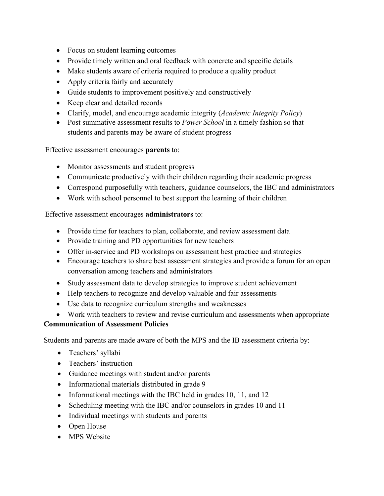- Focus on student learning outcomes
- Provide timely written and oral feedback with concrete and specific details
- Make students aware of criteria required to produce a quality product
- Apply criteria fairly and accurately
- Guide students to improvement positively and constructively
- Keep clear and detailed records
- Clarify, model, and encourage academic integrity (*Academic Integrity Policy*)
- Post summative assessment results to *Power School* in a timely fashion so that students and parents may be aware of student progress

Effective assessment encourages **parents** to:

- Monitor assessments and student progress
- Communicate productively with their children regarding their academic progress
- Correspond purposefully with teachers, guidance counselors, the IBC and administrators
- Work with school personnel to best support the learning of their children

#### Effective assessment encourages **administrators** to:

- Provide time for teachers to plan, collaborate, and review assessment data
- Provide training and PD opportunities for new teachers
- Offer in-service and PD workshops on assessment best practice and strategies
- Encourage teachers to share best assessment strategies and provide a forum for an open conversation among teachers and administrators
- Study assessment data to develop strategies to improve student achievement
- Help teachers to recognize and develop valuable and fair assessments
- Use data to recognize curriculum strengths and weaknesses
- Work with teachers to review and revise curriculum and assessments when appropriate

#### **Communication of Assessment Policies**

Students and parents are made aware of both the MPS and the IB assessment criteria by:

- Teachers' syllabi
- Teachers' instruction
- Guidance meetings with student and/or parents
- Informational materials distributed in grade 9
- Informational meetings with the IBC held in grades 10, 11, and 12
- Scheduling meeting with the IBC and/or counselors in grades 10 and 11
- Individual meetings with students and parents
- Open House
- MPS Website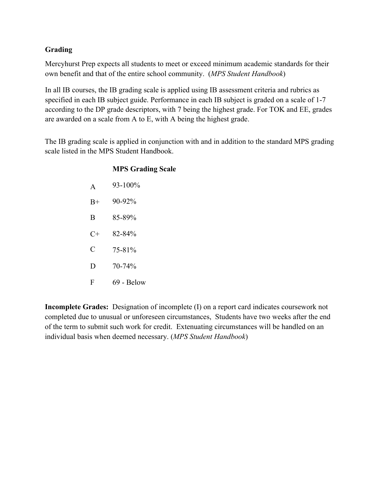# **Grading**

Mercyhurst Prep expects all students to meet or exceed minimum academic standards for their own benefit and that of the entire school community. (*MPS Student Handbook*)

In all IB courses, the IB grading scale is applied using IB assessment criteria and rubrics as specified in each IB subject guide. Performance in each IB subject is graded on a scale of 1-7 according to the DP grade descriptors, with 7 being the highest grade. For TOK and EE, grades are awarded on a scale from A to E, with A being the highest grade.

The IB grading scale is applied in conjunction with and in addition to the standard MPS grading scale listed in the MPS Student Handbook.

#### **MPS Grading Scale**

| $\Delta$ | $93 - 100\%$ |
|----------|--------------|
| $B+$     | 90-92%       |
| B        | 85-89%       |
| C+       | 82-84%       |
| C        | 75-81%       |
| D        | $70 - 74\%$  |
| F        | 69 - Below   |
|          |              |

**Incomplete Grades:** Designation of incomplete (I) on a report card indicates coursework not completed due to unusual or unforeseen circumstances, Students have two weeks after the end of the term to submit such work for credit. Extenuating circumstances will be handled on an individual basis when deemed necessary. (*MPS Student Handbook*)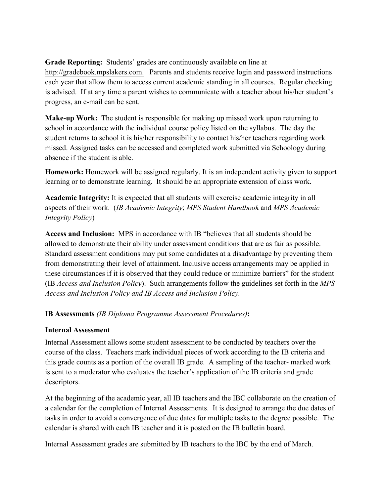**Grade Reporting:** Students' grades are continuously available on line at http://gradebook.mpslakers.com. Parents and students receive login and password instructions each year that allow them to access current academic standing in all courses. Regular checking is advised. If at any time a parent wishes to communicate with a teacher about his/her student's progress, an e-mail can be sent.

**Make-up Work:** The student is responsible for making up missed work upon returning to school in accordance with the individual course policy listed on the syllabus. The day the student returns to school it is his/her responsibility to contact his/her teachers regarding work missed. Assigned tasks can be accessed and completed work submitted via Schoology during absence if the student is able.

**Homework:** Homework will be assigned regularly. It is an independent activity given to support learning or to demonstrate learning. It should be an appropriate extension of class work.

**Academic Integrity:** It is expected that all students will exercise academic integrity in all aspects of their work. (*IB Academic Integrity*; *MPS Student Handbook* and *MPS Academic Integrity Policy*)

**Access and Inclusion:** MPS in accordance with IB "believes that all students should be allowed to demonstrate their ability under assessment conditions that are as fair as possible. Standard assessment conditions may put some candidates at a disadvantage by preventing them from demonstrating their level of attainment. Inclusive access arrangements may be applied in these circumstances if it is observed that they could reduce or minimize barriers" for the student (IB *Access and Inclusion Policy*). Such arrangements follow the guidelines set forth in the *MPS Access and Inclusion Policy and IB Access and Inclusion Policy.* 

#### **IB Assessments** *(IB Diploma Programme Assessment Procedures)***:**

#### **Internal Assessment**

Internal Assessment allows some student assessment to be conducted by teachers over the course of the class. Teachers mark individual pieces of work according to the IB criteria and this grade counts as a portion of the overall IB grade. A sampling of the teacher- marked work is sent to a moderator who evaluates the teacher's application of the IB criteria and grade descriptors.

At the beginning of the academic year, all IB teachers and the IBC collaborate on the creation of a calendar for the completion of Internal Assessments. It is designed to arrange the due dates of tasks in order to avoid a convergence of due dates for multiple tasks to the degree possible. The calendar is shared with each IB teacher and it is posted on the IB bulletin board.

Internal Assessment grades are submitted by IB teachers to the IBC by the end of March.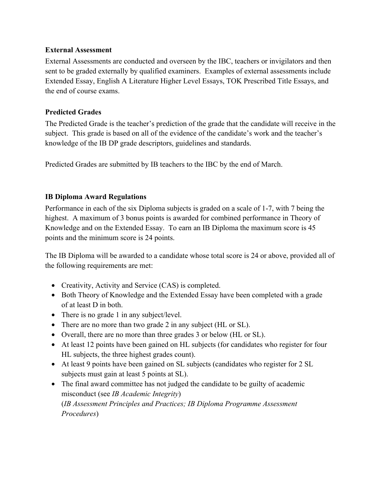#### **External Assessment**

External Assessments are conducted and overseen by the IBC, teachers or invigilators and then sent to be graded externally by qualified examiners. Examples of external assessments include Extended Essay, English A Literature Higher Level Essays, TOK Prescribed Title Essays, and the end of course exams.

## **Predicted Grades**

The Predicted Grade is the teacher's prediction of the grade that the candidate will receive in the subject. This grade is based on all of the evidence of the candidate's work and the teacher's knowledge of the IB DP grade descriptors, guidelines and standards.

Predicted Grades are submitted by IB teachers to the IBC by the end of March.

## **IB Diploma Award Regulations**

Performance in each of the six Diploma subjects is graded on a scale of 1-7, with 7 being the highest. A maximum of 3 bonus points is awarded for combined performance in Theory of Knowledge and on the Extended Essay. To earn an IB Diploma the maximum score is 45 points and the minimum score is 24 points.

The IB Diploma will be awarded to a candidate whose total score is 24 or above, provided all of the following requirements are met:

- Creativity, Activity and Service (CAS) is completed.
- Both Theory of Knowledge and the Extended Essay have been completed with a grade of at least D in both.
- There is no grade 1 in any subject/level.
- There are no more than two grade 2 in any subject (HL or SL).
- Overall, there are no more than three grades 3 or below (HL or SL).
- At least 12 points have been gained on HL subjects (for candidates who register for four HL subjects, the three highest grades count).
- At least 9 points have been gained on SL subjects (candidates who register for 2 SL subjects must gain at least 5 points at SL).
- The final award committee has not judged the candidate to be guilty of academic misconduct (see *IB Academic Integrity*) (*IB Assessment Principles and Practices; IB Diploma Programme Assessment Procedures*)